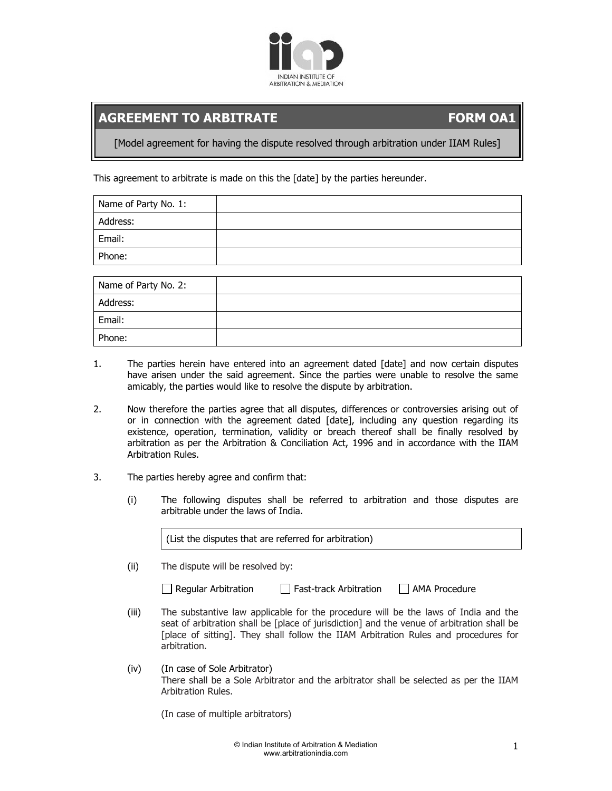

## **AGREEMENT TO ARBITRATE FORM OA1**

[Model agreement for having the dispute resolved through arbitration under IIAM Rules]

This agreement to arbitrate is made on this the [date] by the parties hereunder.

| Name of Party No. 1: |  |
|----------------------|--|
| Address:             |  |
| Email:               |  |
| Phone:               |  |

| Name of Party No. 2: |  |
|----------------------|--|
| Address:             |  |
| Email:               |  |
| Phone:               |  |

- 1. The parties herein have entered into an agreement dated [date] and now certain disputes have arisen under the said agreement. Since the parties were unable to resolve the same amicably, the parties would like to resolve the dispute by arbitration.
- 2. Now therefore the parties agree that all disputes, differences or controversies arising out of or in connection with the agreement dated [date], including any question regarding its existence, operation, termination, validity or breach thereof shall be finally resolved by arbitration as per the Arbitration & Conciliation Act, 1996 and in accordance with the IIAM Arbitration Rules.
- 3. The parties hereby agree and confirm that:
	- (i) The following disputes shall be referred to arbitration and those disputes are arbitrable under the laws of India.

(List the disputes that are referred for arbitration)

(ii) The dispute will be resolved by:

 $\Box$  Regular Arbitration  $\Box$  Fast-track Arbitration  $\Box$  AMA Procedure

- (iii) The substantive law applicable for the procedure will be the laws of India and the seat of arbitration shall be [place of jurisdiction] and the venue of arbitration shall be [place of sitting]. They shall follow the IIAM Arbitration Rules and procedures for arbitration.
- (iv) (In case of Sole Arbitrator) There shall be a Sole Arbitrator and the arbitrator shall be selected as per the IIAM Arbitration Rules.

(In case of multiple arbitrators)